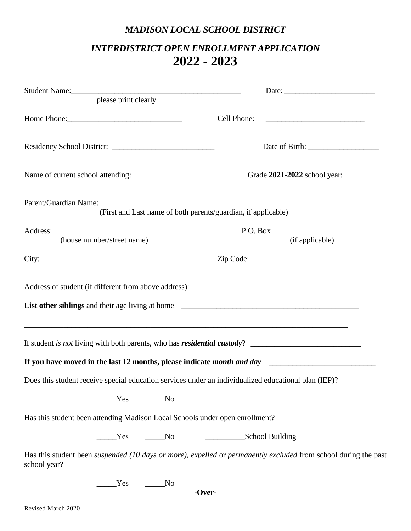## *MADISON LOCAL SCHOOL DISTRICT*

## *INTERDISTRICT OPEN ENROLLMENT APPLICATION* **2022 - 2023**

| please print clearly                                                                                                                                                                                                                                                                                              |                                                                                                                        |
|-------------------------------------------------------------------------------------------------------------------------------------------------------------------------------------------------------------------------------------------------------------------------------------------------------------------|------------------------------------------------------------------------------------------------------------------------|
| Home Phone: 1988                                                                                                                                                                                                                                                                                                  |                                                                                                                        |
|                                                                                                                                                                                                                                                                                                                   |                                                                                                                        |
|                                                                                                                                                                                                                                                                                                                   | Grade 2021-2022 school year:                                                                                           |
|                                                                                                                                                                                                                                                                                                                   | (First and Last name of both parents/guardian, if applicable)                                                          |
|                                                                                                                                                                                                                                                                                                                   |                                                                                                                        |
| (house number/street name)                                                                                                                                                                                                                                                                                        | (if applicable)                                                                                                        |
|                                                                                                                                                                                                                                                                                                                   | Zip Code:                                                                                                              |
| Address of student (if different from above address): Manual Manual Manual Manual Manual Manual Manual Manual Manual Manual Manual Manual Manual Manual Manual Manual Manual Manual Manual Manual Manual Manual Manual Manual<br>,我们也不会有什么。""我们的人,我们也不会有什么?""我们的人,我们也不会有什么?""我们的人,我们也不会有什么?""我们的人,我们也不会有什么?""我们的人 |                                                                                                                        |
|                                                                                                                                                                                                                                                                                                                   |                                                                                                                        |
| Does this student receive special education services under an individualized educational plan (IEP)?                                                                                                                                                                                                              |                                                                                                                        |
| Yes No                                                                                                                                                                                                                                                                                                            |                                                                                                                        |
| Has this student been attending Madison Local Schools under open enrollment?                                                                                                                                                                                                                                      |                                                                                                                        |
| No No                                                                                                                                                                                                                                                                                                             | School Building                                                                                                        |
| school year?                                                                                                                                                                                                                                                                                                      | Has this student been <i>suspended</i> (10 days or more), expelled or permanently excluded from school during the past |
| Yes<br>No                                                                                                                                                                                                                                                                                                         |                                                                                                                        |